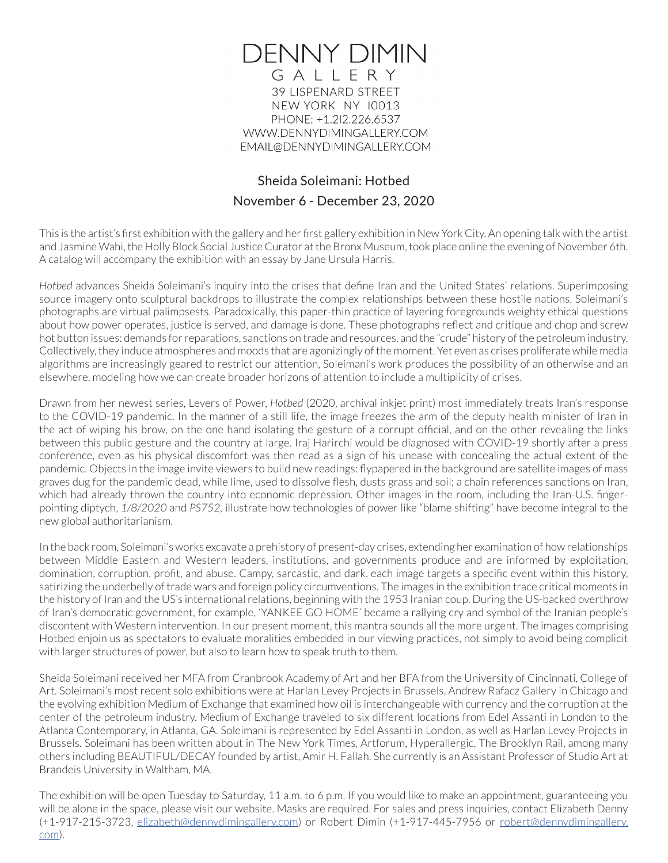

**39 LISPENARD STREET** NEW YORK NY 10013 PHONE: +1.2l2.226.6537 WWW.DENNYDIMINGALLERY.COM EMAIL@DENNYDIMINGALLERY.COM

## Sheida Soleimani: Hotbed November 6 - December 23, 2020

This is the artist's first exhibition with the gallery and her first gallery exhibition in New York City. An opening talk with the artist and Jasmine Wahi, the Holly Block Social Justice Curator at the Bronx Museum, took place online the evening of November 6th. A catalog will accompany the exhibition with an essay by Jane Ursula Harris.

*Hotbed* advances Sheida Soleimani's inquiry into the crises that define Iran and the United States' relations. Superimposing source imagery onto sculptural backdrops to illustrate the complex relationships between these hostile nations, Soleimani's photographs are virtual palimpsests. Paradoxically, this paper-thin practice of layering foregrounds weighty ethical questions about how power operates, justice is served, and damage is done. These photographs reflect and critique and chop and screw hot button issues: demands for reparations, sanctions on trade and resources, and the "crude" history of the petroleum industry. Collectively, they induce atmospheres and moods that are agonizingly of the moment. Yet even as crises proliferate while media algorithms are increasingly geared to restrict our attention, Soleimani's work produces the possibility of an otherwise and an elsewhere, modeling how we can create broader horizons of attention to include a multiplicity of crises.

Drawn from her newest series, Levers of Power, *Hotbed* (2020, archival inkjet print) most immediately treats Iran's response to the COVID-19 pandemic. In the manner of a still life, the image freezes the arm of the deputy health minister of Iran in the act of wiping his brow, on the one hand isolating the gesture of a corrupt official, and on the other revealing the links between this public gesture and the country at large. Iraj Harirchi would be diagnosed with COVID-19 shortly after a press conference, even as his physical discomfort was then read as a sign of his unease with concealing the actual extent of the pandemic. Objects in the image invite viewers to build new readings: flypapered in the background are satellite images of mass graves dug for the pandemic dead, while lime, used to dissolve flesh, dusts grass and soil; a chain references sanctions on Iran, which had already thrown the country into economic depression. Other images in the room, including the Iran-U.S. fingerpointing diptych, *1/8/2020* and *PS752,* illustrate how technologies of power like "blame shifting" have become integral to the new global authoritarianism.

In the back room, Soleimani's works excavate a prehistory of present-day crises, extending her examination of how relationships between Middle Eastern and Western leaders, institutions, and governments produce and are informed by exploitation, domination, corruption, profit, and abuse. Campy, sarcastic, and dark, each image targets a specific event within this history, satirizing the underbelly of trade wars and foreign policy circumventions. The images in the exhibition trace critical moments in the history of Iran and the US's international relations, beginning with the 1953 Iranian coup. During the US-backed overthrow of Iran's democratic government, for example, 'YANKEE GO HOME' became a rallying cry and symbol of the Iranian people's discontent with Western intervention. In our present moment, this mantra sounds all the more urgent. The images comprising Hotbed enjoin us as spectators to evaluate moralities embedded in our viewing practices, not simply to avoid being complicit with larger structures of power, but also to learn how to speak truth to them.

Sheida Soleimani received her MFA from Cranbrook Academy of Art and her BFA from the University of Cincinnati, College of Art. Soleimani's most recent solo exhibitions were at Harlan Levey Projects in Brussels, Andrew Rafacz Gallery in Chicago and the evolving exhibition Medium of Exchange that examined how oil is interchangeable with currency and the corruption at the center of the petroleum industry. Medium of Exchange traveled to six different locations from Edel Assanti in London to the Atlanta Contemporary, in Atlanta, GA. Soleimani is represented by Edel Assanti in London, as well as Harlan Levey Projects in Brussels. Soleimani has been written about in The New York Times, Artforum, Hyperallergic, The Brooklyn Rail, among many others including BEAUTIFUL/DECAY founded by artist, Amir H. Fallah. She currently is an Assistant Professor of Studio Art at Brandeis University in Waltham, MA.

The exhibition will be open Tuesday to Saturday, 11 a.m. to 6 p.m. If you would like to make an appointment, guaranteeing you will be alone in the space, please visit our website. Masks are required. For sales and press inquiries, contact Elizabeth Denny (+1-917-215-3723, elizabeth@dennydimingallery.com) or Robert Dimin (+1-917-445-7956 or robert@dennydimingallery. com).